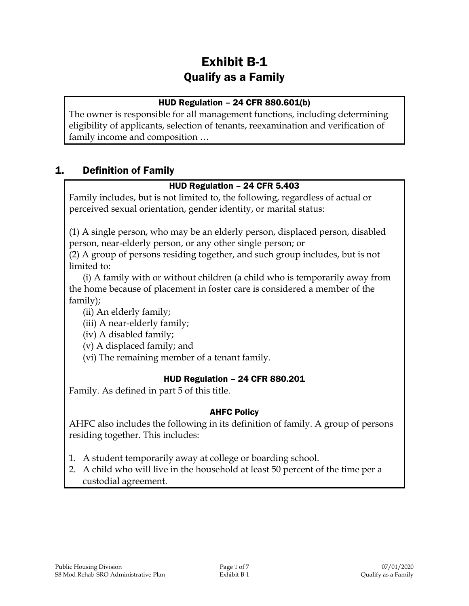# Exhibit B-1 Qualify as a Family

### HUD Regulation – 24 CFR 880.601(b)

The owner is responsible for all management functions, including determining eligibility of applicants, selection of tenants, reexamination and verification of family income and composition …

# 1. Definition of Family

### HUD Regulation – 24 CFR 5.403

Family includes, but is not limited to, the following, regardless of actual or perceived sexual orientation, gender identity, or marital status:

(1) A single person, who may be an elderly person, displaced person, disabled person, near-elderly person, or any other single person; or

(2) A group of persons residing together, and such group includes, but is not limited to:

(i) A family with or without children (a child who is temporarily away from the home because of placement in foster care is considered a member of the family);

- (ii) An elderly family;
- (iii) A near-elderly family;

(iv) A disabled family;

(v) A displaced family; and

(vi) The remaining member of a tenant family.

### HUD Regulation – 24 CFR 880.201

Family. As defined in part 5 of this title.

#### AHFC Policy

AHFC also includes the following in its definition of family. A group of persons residing together. This includes:

- 1. A student temporarily away at college or boarding school.
- 2. A child who will live in the household at least 50 percent of the time per a custodial agreement.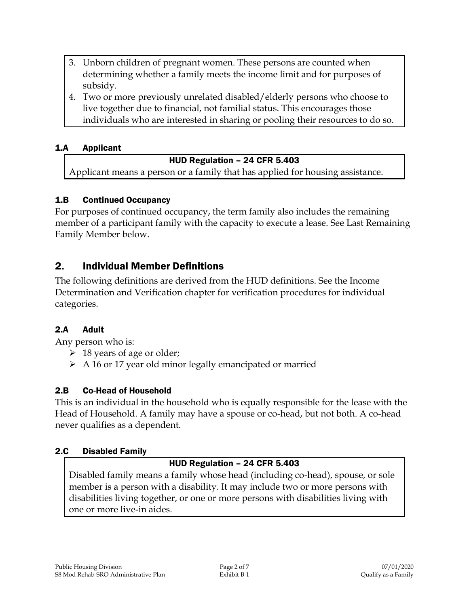- 3. Unborn children of pregnant women. These persons are counted when determining whether a family meets the income limit and for purposes of subsidy.
- 4. Two or more previously unrelated disabled/elderly persons who choose to live together due to financial, not familial status. This encourages those individuals who are interested in sharing or pooling their resources to do so.

### 1.A Applicant

### HUD Regulation – 24 CFR 5.403

Applicant means a person or a family that has applied for housing assistance.

### 1.B Continued Occupancy

For purposes of continued occupancy, the term family also includes the remaining member of a participant family with the capacity to execute a lease. See Last Remaining Family Member below.

# 2. Individual Member Definitions

The following definitions are derived from the HUD definitions. See the Income Determination and Verification chapter for verification procedures for individual categories.

### 2.A Adult

Any person who is:

- $\geq 18$  years of age or older;
- $\triangleright$  A 16 or 17 year old minor legally emancipated or married

### 2.B Co-Head of Household

This is an individual in the household who is equally responsible for the lease with the Head of Household. A family may have a spouse or co-head, but not both. A co-head never qualifies as a dependent.

#### 2.C Disabled Family

### HUD Regulation – 24 CFR 5.403

Disabled family means a family whose head (including co-head), spouse, or sole member is a person with a disability. It may include two or more persons with disabilities living together, or one or more persons with disabilities living with one or more live-in aides.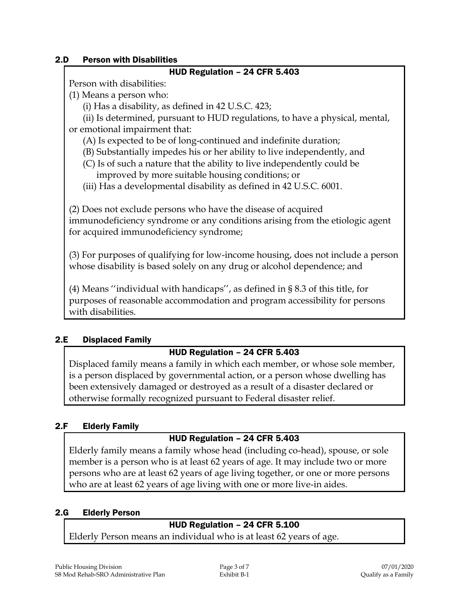#### 2.D Person with Disabilities

#### HUD Regulation – 24 CFR 5.403

Person with disabilities:

- (1) Means a person who:
	- (i) Has a disability, as defined in 42 U.S.C. 423;

(ii) Is determined, pursuant to HUD regulations, to have a physical, mental, or emotional impairment that:

- (A) Is expected to be of long-continued and indefinite duration;
- (B) Substantially impedes his or her ability to live independently, and
- (C) Is of such a nature that the ability to live independently could be improved by more suitable housing conditions; or
- (iii) Has a developmental disability as defined in 42 U.S.C. 6001.

(2) Does not exclude persons who have the disease of acquired immunodeficiency syndrome or any conditions arising from the etiologic agent for acquired immunodeficiency syndrome;

(3) For purposes of qualifying for low-income housing, does not include a person whose disability is based solely on any drug or alcohol dependence; and

(4) Means ''individual with handicaps'', as defined in § 8.3 of this title, for purposes of reasonable accommodation and program accessibility for persons with disabilities.

### 2.E Displaced Family

# HUD Regulation – 24 CFR 5.403

Displaced family means a family in which each member, or whose sole member, is a person displaced by governmental action, or a person whose dwelling has been extensively damaged or destroyed as a result of a disaster declared or otherwise formally recognized pursuant to Federal disaster relief.

# 2.F Elderly Family

### HUD Regulation – 24 CFR 5.403

Elderly family means a family whose head (including co-head), spouse, or sole member is a person who is at least 62 years of age. It may include two or more persons who are at least 62 years of age living together, or one or more persons who are at least 62 years of age living with one or more live-in aides.

### 2.G Elderly Person

# HUD Regulation – 24 CFR 5.100

Elderly Person means an individual who is at least 62 years of age.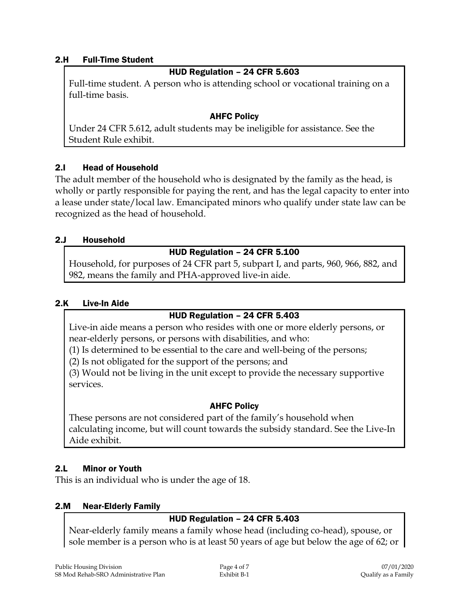#### 2.H Full-Time Student

#### HUD Regulation – 24 CFR 5.603

Full-time student. A person who is attending school or vocational training on a full-time basis.

#### AHFC Policy

Under 24 CFR 5.612, adult students may be ineligible for assistance. See the Student Rule exhibit.

### 2.I Head of Household

The adult member of the household who is designated by the family as the head, is wholly or partly responsible for paying the rent, and has the legal capacity to enter into a lease under state/local law. Emancipated minors who qualify under state law can be recognized as the head of household.

#### 2.J Household

#### HUD Regulation – 24 CFR 5.100

Household, for purposes of 24 CFR part 5, subpart I, and parts, 960, 966, 882, and 982, means the family and PHA-approved live-in aide.

#### 2.K Live-In Aide

### HUD Regulation – 24 CFR 5.403

Live-in aide means a person who resides with one or more elderly persons, or near-elderly persons, or persons with disabilities, and who:

(1) Is determined to be essential to the care and well-being of the persons;

(2) Is not obligated for the support of the persons; and

(3) Would not be living in the unit except to provide the necessary supportive services.

### AHFC Policy

These persons are not considered part of the family's household when calculating income, but will count towards the subsidy standard. See the Live-In Aide exhibit.

### 2.L Minor or Youth

This is an individual who is under the age of 18.

#### 2.M Near-Elderly Family

# HUD Regulation – 24 CFR 5.403

Near-elderly family means a family whose head (including co-head), spouse, or sole member is a person who is at least 50 years of age but below the age of 62; or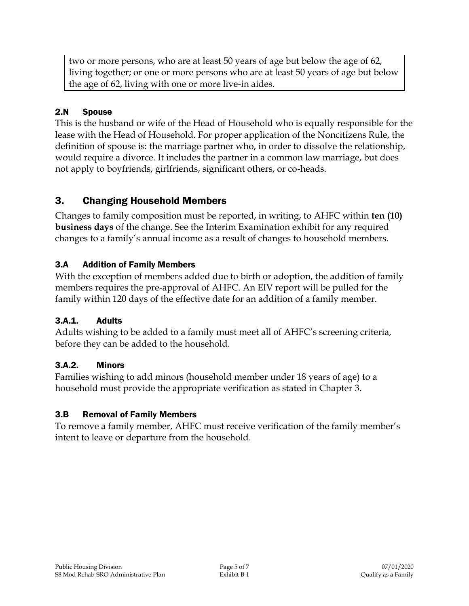two or more persons, who are at least 50 years of age but below the age of 62, living together; or one or more persons who are at least 50 years of age but below the age of 62, living with one or more live-in aides.

# 2.N Spouse

This is the husband or wife of the Head of Household who is equally responsible for the lease with the Head of Household. For proper application of the Noncitizens Rule, the definition of spouse is: the marriage partner who, in order to dissolve the relationship, would require a divorce. It includes the partner in a common law marriage, but does not apply to boyfriends, girlfriends, significant others, or co-heads.

# 3. Changing Household Members

Changes to family composition must be reported, in writing, to AHFC within **ten (10) business days** of the change. See the Interim Examination exhibit for any required changes to a family's annual income as a result of changes to household members.

# 3.A Addition of Family Members

With the exception of members added due to birth or adoption, the addition of family members requires the pre-approval of AHFC. An EIV report will be pulled for the family within 120 days of the effective date for an addition of a family member.

# 3.A.1. Adults

Adults wishing to be added to a family must meet all of AHFC's screening criteria, before they can be added to the household.

# 3.A.2. Minors

Families wishing to add minors (household member under 18 years of age) to a household must provide the appropriate verification as stated in Chapter 3.

# 3.B Removal of Family Members

To remove a family member, AHFC must receive verification of the family member's intent to leave or departure from the household.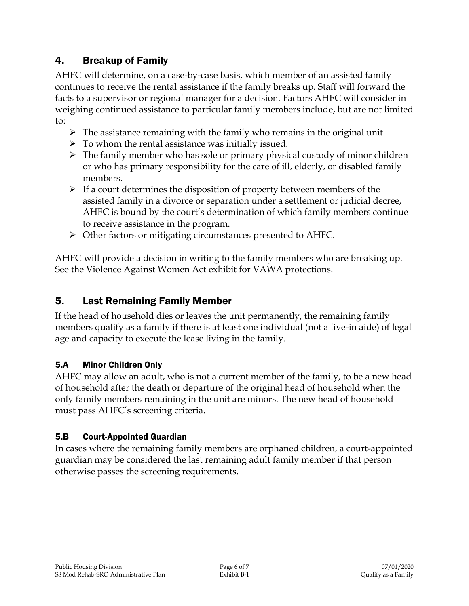# 4. Breakup of Family

AHFC will determine, on a case-by-case basis, which member of an assisted family continues to receive the rental assistance if the family breaks up. Staff will forward the facts to a supervisor or regional manager for a decision. Factors AHFC will consider in weighing continued assistance to particular family members include, but are not limited to:

- $\triangleright$  The assistance remaining with the family who remains in the original unit.
- $\triangleright$  To whom the rental assistance was initially issued.
- $\triangleright$  The family member who has sole or primary physical custody of minor children or who has primary responsibility for the care of ill, elderly, or disabled family members.
- $\triangleright$  If a court determines the disposition of property between members of the assisted family in a divorce or separation under a settlement or judicial decree, AHFC is bound by the court's determination of which family members continue to receive assistance in the program.
- Other factors or mitigating circumstances presented to AHFC.

AHFC will provide a decision in writing to the family members who are breaking up. See the Violence Against Women Act exhibit for VAWA protections.

# 5. Last Remaining Family Member

If the head of household dies or leaves the unit permanently, the remaining family members qualify as a family if there is at least one individual (not a live-in aide) of legal age and capacity to execute the lease living in the family.

### 5.A Minor Children Only

AHFC may allow an adult, who is not a current member of the family, to be a new head of household after the death or departure of the original head of household when the only family members remaining in the unit are minors. The new head of household must pass AHFC's screening criteria.

### 5.B Court-Appointed Guardian

In cases where the remaining family members are orphaned children, a court-appointed guardian may be considered the last remaining adult family member if that person otherwise passes the screening requirements.